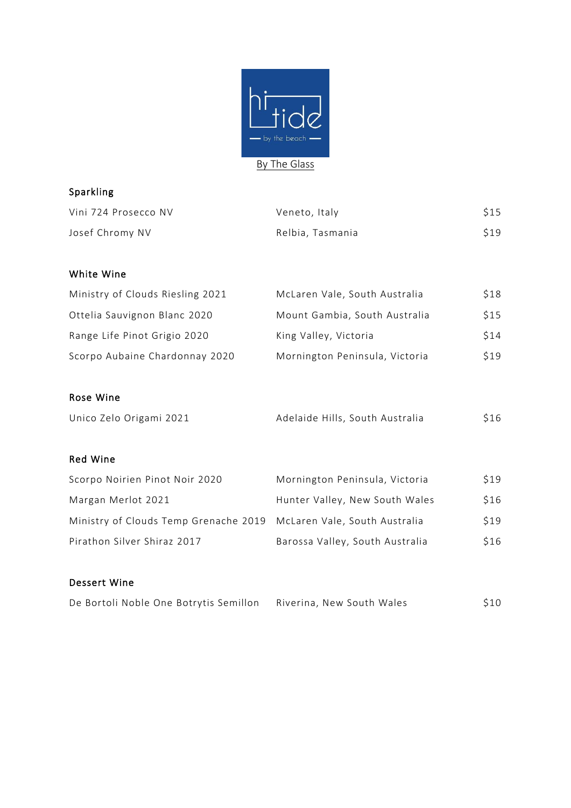

# Sparkling

| Vini 724 Prosecco NV | Veneto, Italy    | \$15 |
|----------------------|------------------|------|
| Josef Chromy NV      | Relbia, Tasmania | \$19 |

# White Wine

| Ministry of Clouds Riesling 2021 | McLaren Vale, South Australia  | \$18 |
|----------------------------------|--------------------------------|------|
| Ottelia Sauvignon Blanc 2020     | Mount Gambia, South Australia  | \$15 |
| Range Life Pinot Grigio 2020     | King Valley, Victoria          | \$14 |
| Scorpo Aubaine Chardonnay 2020   | Mornington Peninsula, Victoria | \$19 |

# Rose Wine

| Unico Zelo Origami 2021 | Adelaide Hills, South Australia | \$16 |
|-------------------------|---------------------------------|------|
|-------------------------|---------------------------------|------|

# Red Wine

| Scorpo Noirien Pinot Noir 2020                                      | Mornington Peninsula, Victoria  | \$19 |
|---------------------------------------------------------------------|---------------------------------|------|
| Margan Merlot 2021                                                  | Hunter Valley, New South Wales  | \$16 |
| Ministry of Clouds Temp Grenache 2019 McLaren Vale, South Australia |                                 | \$19 |
| Pirathon Silver Shiraz 2017                                         | Barossa Valley, South Australia | \$16 |

# Dessert Wine

| De Bortoli Noble One Botrytis Semillon | Riverina, New South Wales | \$10 |
|----------------------------------------|---------------------------|------|
|                                        |                           |      |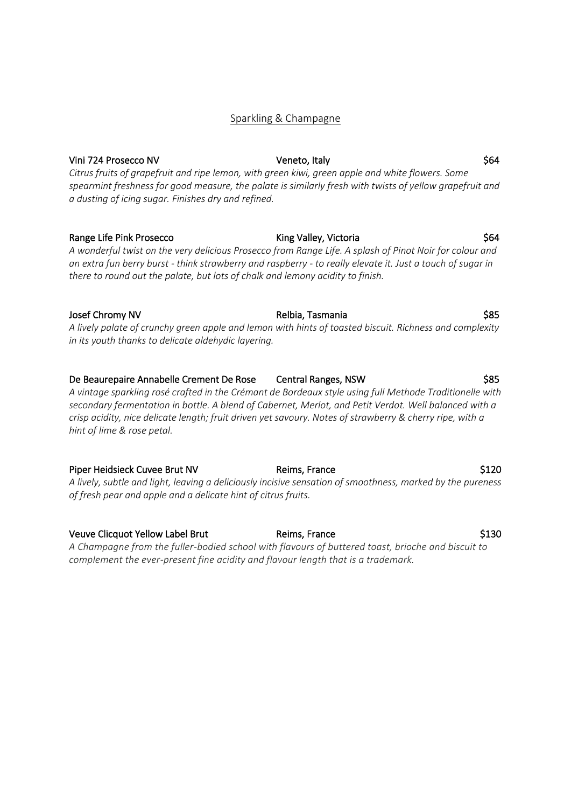### Sparkling & Champagne

Vini 724 Prosecco NV **Veneto, Italy 1996** S64 *Citrus fruits of grapefruit and ripe lemon, with green kiwi, green apple and white flowers. Some spearmint freshness for good measure, the palate is similarly fresh with twists of yellow grapefruit and a dusting of icing sugar. Finishes dry and refined.* 

Range Life Pink Prosecco **King Valley, Victoria** Bange Life Pink Prosecco **King Valley**, Victoria *A wonderful twist on the very delicious Prosecco from Range Life. A splash of Pinot Noir for colour and an extra fun berry burst - think strawberry and raspberry - to really elevate it. Just a touch of sugar in there to round out the palate, but lots of chalk and lemony acidity to finish.*

Josef Chromy NV 885 *A lively palate of crunchy green apple and lemon with hints of toasted biscuit. Richness and complexity in its youth thanks to delicate aldehydic layering.*

De Beaurepaire Annabelle Crement De Rose Central Ranges, NSW \$85 *A vintage sparkling rosé crafted in the Crémant de Bordeaux style using full Methode Traditionelle with secondary fermentation in bottle. A blend of Cabernet, Merlot, and Petit Verdot. Well balanced with a crisp acidity, nice delicate length; fruit driven yet savoury. Notes of strawberry & cherry ripe, with a hint of lime & rose petal.*

Piper Heidsieck Cuvee Brut NV Reims, France \$120 *A lively, subtle and light, leaving a deliciously incisive sensation of smoothness, marked by the pureness of fresh pear and apple and a delicate hint of citrus fruits.*

Veuve Clicquot Yellow Label Brut Reims, France **\$130** *A Champagne from the fuller-bodied school with flavours of buttered toast, brioche and biscuit to complement the ever-present fine acidity and flavour length that is a trademark.*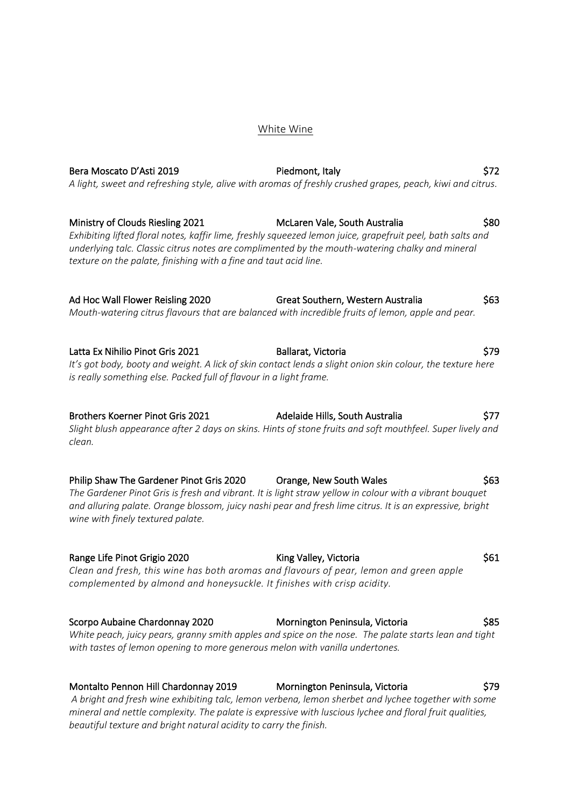### White Wine

Bera Moscato D'Asti 2019 **Piedmont, Italy 1998** Piedmont, Italy *A light, sweet and refreshing style, alive with aromas of freshly crushed grapes, peach, kiwi and citrus.*

Ministry of Clouds Riesling 2021 McLaren Vale, South Australia \$80 *Exhibiting lifted floral notes, kaffir lime, freshly squeezed lemon juice, grapefruit peel, bath salts and underlying talc. Classic citrus notes are complimented by the mouth-watering chalky and mineral texture on the palate, finishing with a fine and taut acid line.*

Ad Hoc Wall Flower Reisling 2020 Great Southern, Western Australia  $\frac{1}{563}$ *Mouth-watering citrus flavours that are balanced with incredible fruits of lemon, apple and pear.* 

Latta Ex Nihilio Pinot Gris 2021 Ballarat, Victoria **Ballarat, Victoria** *It's got body, booty and weight. A lick of skin contact lends a slight onion skin colour, the texture here is really something else. Packed full of flavour in a light frame.*

Brothers Koerner Pinot Gris 2021 Adelaide Hills, South Australia 677 *Slight blush appearance after 2 days on skins. Hints of stone fruits and soft mouthfeel. Super lively and clean.*

Philip Shaw The Gardener Pinot Gris 2020 Orange, New South Wales \$63 *The Gardener Pinot Gris is fresh and vibrant. It is light straw yellow in colour with a vibrant bouquet and alluring palate. Orange blossom, juicy nashi pear and fresh lime citrus. It is an expressive, bright wine with finely textured palate.*

Range Life Pinot Grigio 2020 King Valley, Victoria **Krigio 2020** \$61 *Clean and fresh, this wine has both aromas and flavours of pear, lemon and green apple complemented by almond and honeysuckle. It finishes with crisp acidity.*

Scorpo Aubaine Chardonnay 2020 Mornington Peninsula, Victoria 685 *White peach, juicy pears, granny smith apples and spice on the nose. The palate starts lean and tight with tastes of lemon opening to more generous melon with vanilla undertones.*

| Montalto Pennon Hill Chardonnay 2019                                                                     | Mornington Peninsula, Victoria | \$79 |
|----------------------------------------------------------------------------------------------------------|--------------------------------|------|
| A bright and fresh wine exhibiting talc, lemon verbena, lemon sherbet and lychee together with some      |                                |      |
| mineral and nettle complexity. The palate is expressive with luscious lychee and floral fruit qualities, |                                |      |
| beautiful texture and bright natural acidity to carry the finish.                                        |                                |      |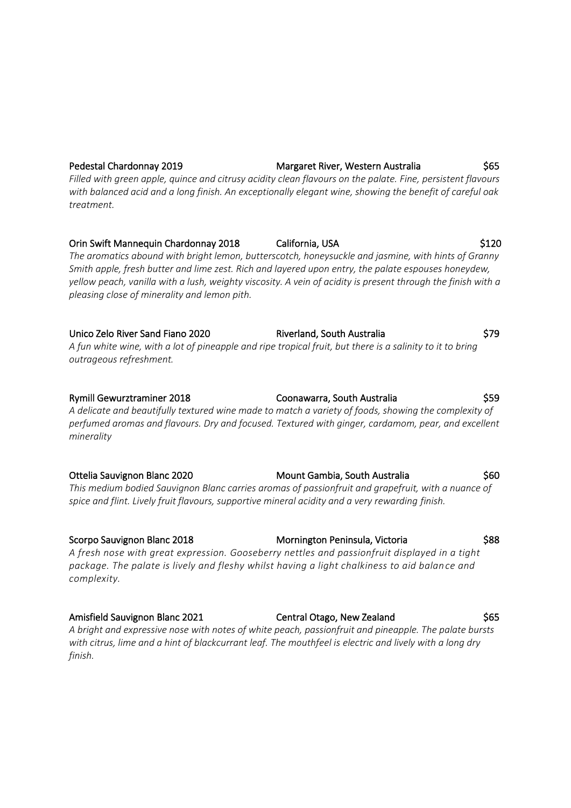# Pedestal Chardonnay 2019 **Margaret River, Western Australia**  $\frac{1}{565}$ *Filled with green apple, quince and citrusy acidity clean flavours on the palate. Fine, persistent flavours with balanced acid and a long finish. An exceptionally elegant wine, showing the benefit of careful oak treatment.*

Orin Swift Mannequin Chardonnay 2018 California, USA \$120 *The aromatics abound with bright lemon, butterscotch, honeysuckle and jasmine, with hints of Granny Smith apple, fresh butter and lime zest. Rich and layered upon entry, the palate espouses honeydew, yellow peach, vanilla with a lush, weighty viscosity. A vein of acidity is present through the finish with a pleasing close of minerality and lemon pith.*

Unico Zelo River Sand Fiano 2020 Riverland, South Australia \$79 *A fun white wine, with a lot of pineapple and ripe tropical fruit, but there is a salinity to it to bring outrageous refreshment.*

Rymill Gewurztraminer 2018 Coonawarra, South Australia \$59 *A delicate and beautifully textured wine made to match a variety of foods, showing the complexity of perfumed aromas and flavours. Dry and focused. Textured with ginger, cardamom, pear, and excellent minerality*

Ottelia Sauvignon Blanc 2020 Mount Gambia, South Australia \$60 *This medium bodied Sauvignon Blanc carries aromas of passionfruit and grapefruit, with a nuance of spice and flint. Lively fruit flavours, supportive mineral acidity and a very rewarding finish.*

Scorpo Sauvignon Blanc 2018 Mornington Peninsula, Victoria  $\frac{1}{588}$ *A fresh nose with great expression. Gooseberry nettles and passionfruit displayed in a tight package. The palate is lively and fleshy whilst having a light chalkiness to aid balance and complexity.*

Amisfield Sauvignon Blanc 2021 Central Otago, New Zealand \$65 *A bright and expressive nose with notes of white peach, passionfruit and pineapple. The palate bursts with citrus, lime and a hint of blackcurrant leaf. The mouthfeel is electric and lively with a long dry finish.*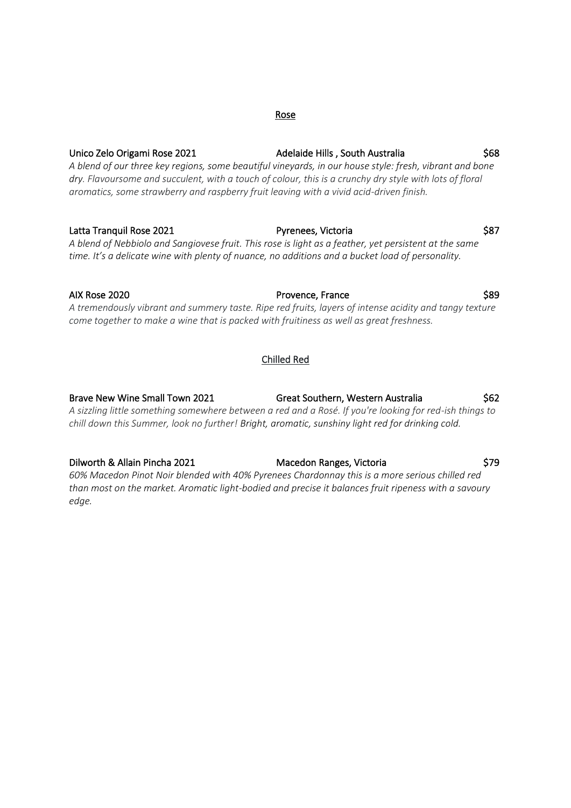# Unico Zelo Origami Rose 2021 **Martin Lucci Adelaide Hills , South Australia** 668 *A blend of our three key regions, some beautiful vineyards, in our house style: fresh, vibrant and bone dry. Flavoursome and succulent, with a touch of colour, this is a crunchy dry style with lots of floral aromatics, some strawberry and raspberry fruit leaving with a vivid acid-driven finish.*

Latta Tranquil Rose 2021 **Pyrenees, Victoria Exercísies** \$87 *A blend of Nebbiolo and Sangiovese fruit. This rose is light as a feather, yet persistent at the same time. It's a delicate wine with plenty of nuance, no additions and a bucket load of personality.*

AIX Rose 2020 **Provence, France 1989 Provence, France** *A tremendously vibrant and summery taste. Ripe red fruits, layers of intense acidity and tangy texture come together to make a wine that is packed with fruitiness as well as great freshness.*

# Chilled Red

Brave New Wine Small Town 2021 Great Southern, Western Australia  $$62$ *A sizzling little something somewhere between a red and a Rosé. If you're looking for red-ish things to chill down this Summer, look no further! Bright, aromatic, sunshiny light red for drinking cold.*

Dilworth & Allain Pincha 2021 Macedon Ranges, Victoria \$79 *60% Macedon Pinot Noir blended with 40% Pyrenees Chardonnay this is a more serious chilled red than most on the market. Aromatic light-bodied and precise it balances fruit ripeness with a savoury edge.*

#### Rose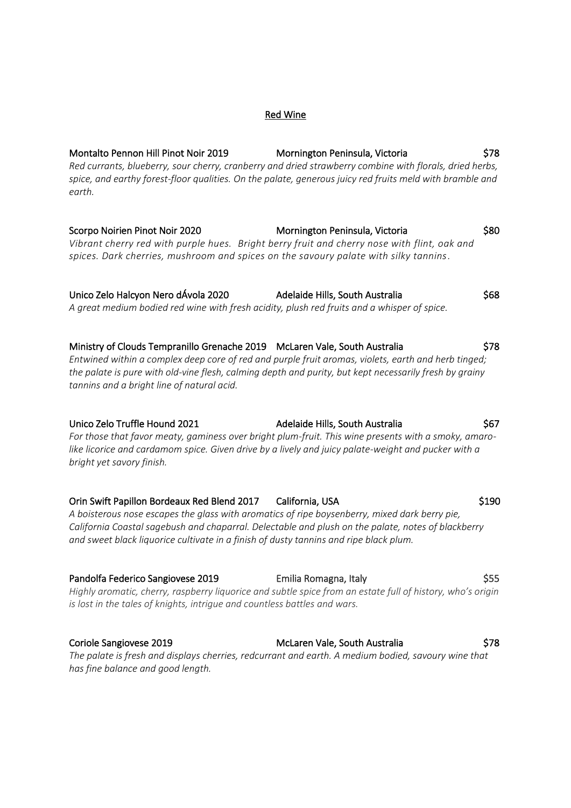## Red Wine

Montalto Pennon Hill Pinot Noir 2019 Mornington Peninsula, Victoria \$78 *Red currants, blueberry, sour cherry, cranberry and dried strawberry combine with florals, dried herbs, spice, and earthy forest-floor qualities. On the palate, generous juicy red fruits meld with bramble and earth.* 

Scorpo Noirien Pinot Noir 2020 Mornington Peninsula, Victoria  $\frac{1}{580}$ *Vibrant cherry red with purple hues. Bright berry fruit and cherry nose with flint, oak and spices. Dark cherries, mushroom and spices on the savoury palate with silky tannins.*

| Unico Zelo Halcyon Nero dÁvola 2020                                                         | Adelaide Hills, South Australia | \$68 |
|---------------------------------------------------------------------------------------------|---------------------------------|------|
| A great medium bodied red wine with fresh acidity, plush red fruits and a whisper of spice. |                                 |      |

# Ministry of Clouds Tempranillo Grenache 2019 McLaren Vale, South Australia \$78 *Entwined within a complex deep core of red and purple fruit aromas, violets, earth and herb tinged; the palate is pure with old-vine flesh, calming depth and purity, but kept necessarily fresh by grainy tannins and a bright line of natural acid.*

Unico Zelo Truffle Hound 2021 **Adelaide Hills, South Australia** 667 *For those that favor meaty, gaminess over bright plum-fruit. This wine presents with a smoky, amarolike licorice and cardamom spice. Given drive by a lively and juicy palate-weight and pucker with a bright yet savory finish.*

Orin Swift Papillon Bordeaux Red Blend 2017 California, USA \$190

*A boisterous nose escapes the glass with aromatics of ripe boysenberry, mixed dark berry pie, California Coastal sagebush and chaparral. Delectable and plush on the palate, notes of blackberry and sweet black liquorice cultivate in a finish of dusty tannins and ripe black plum.* 

Pandolfa Federico Sangiovese 2019 Emilia Romagna, Italy \$55 *Highly aromatic, cherry, raspberry liquorice and subtle spice from an estate full of history, who's origin is lost in the tales of knights, intrigue and countless battles and wars.*

## Coriole Sangiovese 2019 McLaren Vale, South Australia \$78

*The palate is fresh and displays cherries, redcurrant and earth. A medium bodied, savoury wine that has fine balance and good length.*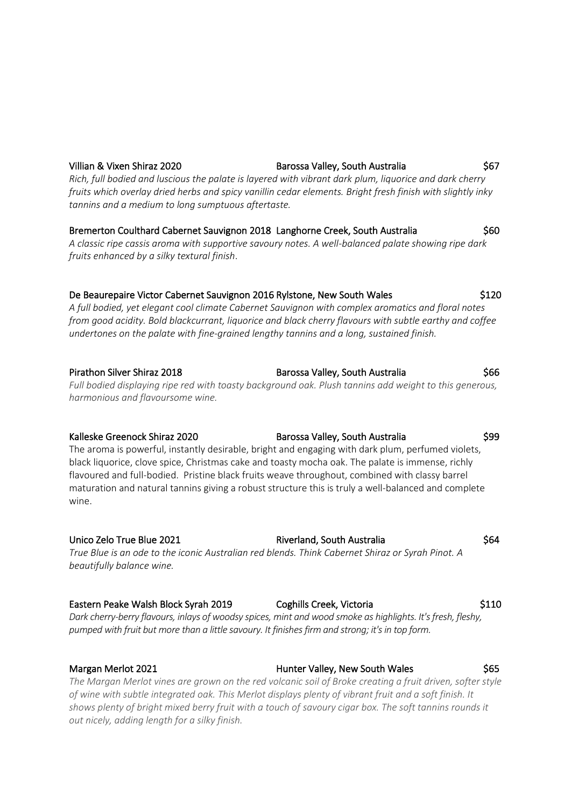## Villian & Vixen Shiraz 2020 **Barossa Valley, South Australia** \$67 *Rich, full bodied and luscious the palate is layered with vibrant dark plum, liquorice and dark cherry fruits which overlay dried herbs and spicy vanillin cedar elements. Bright fresh finish with slightly inky tannins and a medium to long sumptuous aftertaste.*

Bremerton Coulthard Cabernet Sauvignon 2018 Langhorne Creek, South Australia  $$60$ *A classic ripe cassis aroma with supportive savoury notes. A well-balanced palate showing ripe dark fruits enhanced by a silky textural finish*.

# De Beaurepaire Victor Cabernet Sauvignon 2016 Rylstone, New South Wales \$120

*A full bodied, yet elegant cool climate Cabernet Sauvignon with complex aromatics and floral notes from good acidity. Bold blackcurrant, liquorice and black cherry flavours with subtle earthy and coffee undertones on the palate with fine-grained lengthy tannins and a long, sustained finish.*

## Pirathon Silver Shiraz 2018 **Barossa Valley, South Australia** \$66

*Full bodied displaying ripe red with toasty background oak. Plush tannins add weight to this generous, harmonious and flavoursome wine.*

#### Kalleske Greenock Shiraz 2020 Barossa Valley, South Australia 699

The aroma is powerful, instantly desirable, bright and engaging with dark plum, perfumed violets, black liquorice, clove spice, Christmas cake and toasty mocha oak. The palate is immense, richly flavoured and full-bodied. Pristine black fruits weave throughout, combined with classy barrel maturation and natural tannins giving a robust structure this is truly a well-balanced and complete wine.

## Unico Zelo True Blue 2021 March 2013 Riverland, South Australia 364

*True Blue is an ode to the iconic Australian red blends. Think Cabernet Shiraz or Syrah Pinot. A beautifully balance wine.*

## Eastern Peake Walsh Block Syrah 2019 Coghills Creek, Victoria \$110

*Dark cherry-berry flavours, inlays of woodsy spices, mint and wood smoke as highlights. It's fresh, fleshy, pumped with fruit but more than a little savoury. It finishes firm and strong; it's in top form.*

## Margan Merlot 2021 **Margan Merlot 2021** Hunter Valley, New South Wales \$65

*The Margan Merlot vines are grown on the red volcanic soil of Broke creating a fruit driven, softer style of wine with subtle integrated oak. This Merlot displays plenty of vibrant fruit and a soft finish. It shows plenty of bright mixed berry fruit with a touch of savoury cigar box. The soft tannins rounds it out nicely, adding length for a silky finish.*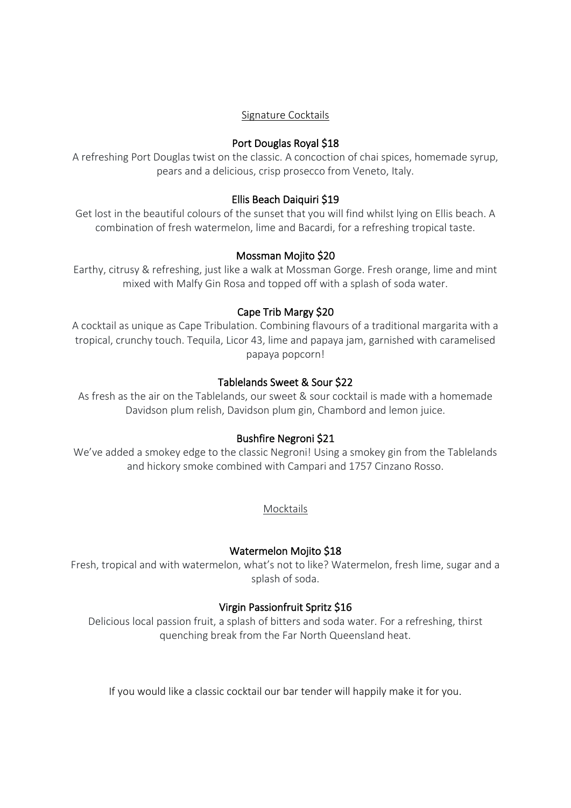# Signature Cocktails

## Port Douglas Royal \$18

A refreshing Port Douglas twist on the classic. A concoction of chai spices, homemade syrup, pears and a delicious, crisp prosecco from Veneto, Italy.

## Ellis Beach Daiquiri \$19

Get lost in the beautiful colours of the sunset that you will find whilst lying on Ellis beach. A combination of fresh watermelon, lime and Bacardi, for a refreshing tropical taste.

## Mossman Mojito \$20

Earthy, citrusy & refreshing, just like a walk at Mossman Gorge. Fresh orange, lime and mint mixed with Malfy Gin Rosa and topped off with a splash of soda water.

## Cape Trib Margy \$20

A cocktail as unique as Cape Tribulation. Combining flavours of a traditional margarita with a tropical, crunchy touch. Tequila, Licor 43, lime and papaya jam, garnished with caramelised papaya popcorn!

## Tablelands Sweet & Sour \$22

As fresh as the air on the Tablelands, our sweet & sour cocktail is made with a homemade Davidson plum relish, Davidson plum gin, Chambord and lemon juice.

## Bushfire Negroni \$21

We've added a smokey edge to the classic Negroni! Using a smokey gin from the Tablelands and hickory smoke combined with Campari and 1757 Cinzano Rosso.

Mocktails

## Watermelon Mojito \$18

Fresh, tropical and with watermelon, what's not to like? Watermelon, fresh lime, sugar and a splash of soda.

## Virgin Passionfruit Spritz \$16

Delicious local passion fruit, a splash of bitters and soda water. For a refreshing, thirst quenching break from the Far North Queensland heat.

If you would like a classic cocktail our bar tender will happily make it for you.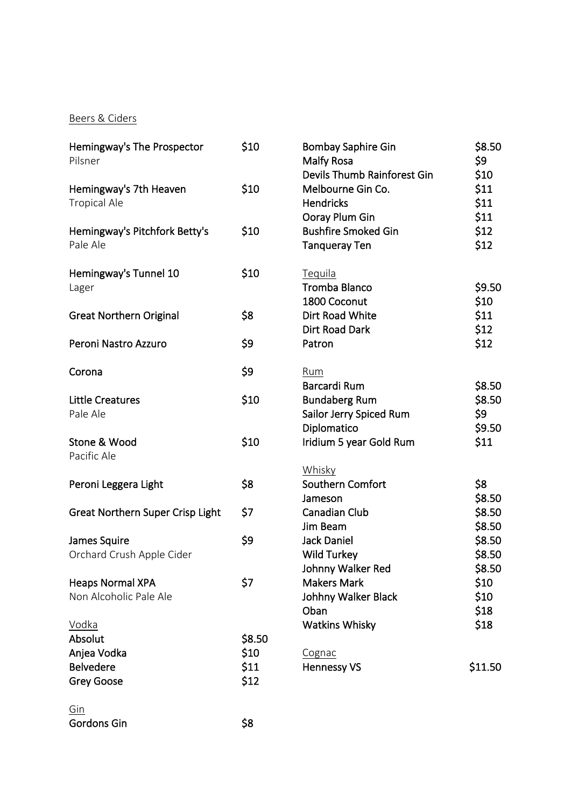Beers & Ciders

| Hemingway's The Prospector<br>Pilsner             | \$10   | <b>Bombay Saphire Gin</b><br>Malfy Rosa<br>Devils Thumb Rainforest Gin | \$8.50<br>\$9<br>\$10   |
|---------------------------------------------------|--------|------------------------------------------------------------------------|-------------------------|
| Hemingway's 7th Heaven<br><b>Tropical Ale</b>     | \$10   | Melbourne Gin Co.<br><b>Hendricks</b><br>Ooray Plum Gin                | \$11<br>\$11<br>\$11    |
| Hemingway's Pitchfork Betty's<br>Pale Ale         | \$10   | <b>Bushfire Smoked Gin</b><br><b>Tanqueray Ten</b>                     | \$12<br>\$12            |
| Hemingway's Tunnel 10<br>Lager                    | \$10   | Tequila<br><b>Tromba Blanco</b><br>1800 Coconut                        | \$9.50<br>\$10          |
| <b>Great Northern Original</b>                    | \$8    | Dirt Road White<br><b>Dirt Road Dark</b>                               | \$11<br>\$12            |
| Peroni Nastro Azzuro                              | \$9    | Patron                                                                 | \$12                    |
| Corona                                            | \$9    | Rum<br><b>Barcardi Rum</b>                                             | \$8.50                  |
| <b>Little Creatures</b><br>Pale Ale               | \$10   | <b>Bundaberg Rum</b><br>Sailor Jerry Spiced Rum<br>Diplomatico         | \$8.50<br>\$9<br>\$9.50 |
| Stone & Wood<br>Pacific Ale                       | \$10   | Iridium 5 year Gold Rum                                                | \$11                    |
|                                                   |        | Whisky                                                                 |                         |
| Peroni Leggera Light                              | \$8    | Southern Comfort<br>Jameson                                            | \$8<br>\$8.50           |
| <b>Great Northern Super Crisp Light</b>           | \$7    | <b>Canadian Club</b><br>Jim Beam                                       | \$8.50<br>\$8.50        |
| James Squire                                      | \$9    | <b>Jack Daniel</b>                                                     | \$8.50                  |
| Orchard Crush Apple Cider                         |        | <b>Wild Turkey</b>                                                     | \$8.50                  |
|                                                   |        | Johnny Walker Red                                                      | \$8.50                  |
| <b>Heaps Normal XPA</b><br>Non Alcoholic Pale Ale | \$7    | <b>Makers Mark</b><br>Johhny Walker Black                              | \$10<br>\$10            |
|                                                   |        | Oban                                                                   | \$18                    |
| <u>Vodka</u>                                      |        | <b>Watkins Whisky</b>                                                  | \$18                    |
| Absolut                                           | \$8.50 |                                                                        |                         |
| Anjea Vodka                                       | \$10   | Cognac                                                                 |                         |
| <b>Belvedere</b>                                  | \$11   | <b>Hennessy VS</b>                                                     | \$11.50                 |
| <b>Grey Goose</b>                                 | \$12   |                                                                        |                         |
| Gin                                               |        |                                                                        |                         |
| Gordons Gin                                       | \$8    |                                                                        |                         |